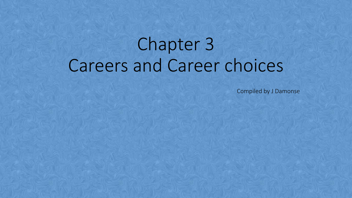# Chapter 3 Careers and Career choices

Compiled by J Damonse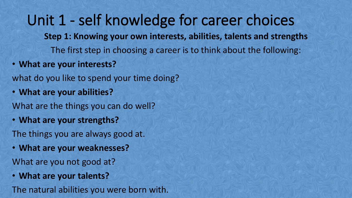Unit 1 - self knowledge for career choices **Step 1: Knowing your own interests, abilities, talents and strengths** The first step in choosing a career is to think about the following:

• **What are your interests?**

what do you like to spend your time doing?

• **What are your abilities?**

What are the things you can do well?

• **What are your strengths?**

The things you are always good at.

• **What are your weaknesses?**

What are you not good at?

• **What are your talents?**

The natural abilities you were born with.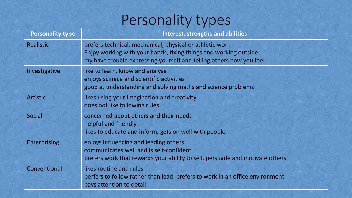# Personality types

| <b>Personality type</b> | <b>Interest, strengths and abilities</b>                                                                                                                                                            |
|-------------------------|-----------------------------------------------------------------------------------------------------------------------------------------------------------------------------------------------------|
| <b>Realistic</b>        | prefers technical, mechanical, physical or athletic work<br>Enjpy working with your hands, fixing things and working outside<br>my have trouble expressing yourself and telling others how you feel |
| Investigative           | like to learn, know and analyse<br>enjoys scinece and scientific activities<br>good at understanding and solving maths and science problems                                                         |
| <b>Artistic</b>         | likes using your imagination and creativity<br>does not like following rules                                                                                                                        |
| <b>Social</b>           | concerned about others and their needs<br>helpful and friendly<br>likes to educate and inform, gets on well with people                                                                             |
| <b>Enterprising</b>     | enjoys influencing and leading others<br>communicates well and is self-confident<br>prefers work that rewards your ability to sell, persuade and motivate others                                    |
| Conventional            | likes routine and rules<br>perfers to follow rather than lead, prefers to work in an office environment<br>pays attention to detail                                                                 |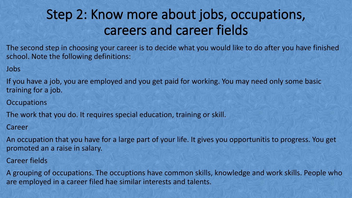# Step 2: Know more about jobs, occupations,<br>careers and career fields

The second step in choosing your career is to decide what you would like to do after you have finished school. Note the following definitions:

Jobs

If you have a job, you are employed and you get paid for working. You may need only some basic training for a job.

**Occupations** 

The work that you do. It requires special education, training or skill.

Career

An occupation that you have for a large part of your life. It gives you opportunitis to progress. You get promoted an a raise in salary.

Career fields

A grouping of occupations. The occuptions have common skills, knowledge and work skills. People who are employed in a career filed hae similar interests and talents.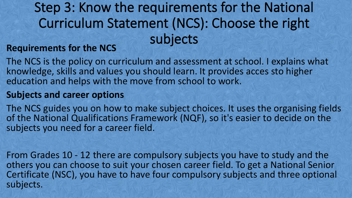# Step 3: Know the requirements for the National<br>Curriculum Statement (NCS): Choose the right<br>subjects

#### **Requirements for the NCS**

The NCS is the policy on curriculum and assessment at school. I explains what knowledge, skills and values you should learn. It provides acces sto higher education and helps with the move from school to work.

#### **Subjects and career options**

The NCS guides you on how to make subject choices. It uses the organising fields of the National Qualifications Framework (NQF), so it's easier to decide on the subjects you need for a career field.

From Grades 10 - 12 there are compulsory subjects you have to study and the others you can choose to suit your chosen career field. To get a National Senior Certificate (NSC), you have to have four compulsory subjects and three optional subjects.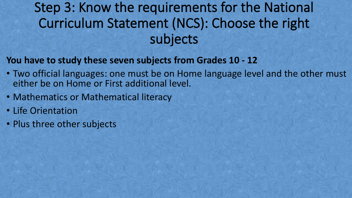# Step 3: Know the requirements for the National<br>Curriculum Statement (NCS): Choose the right<br>subjects

#### **You have to study these seven subjects from Grades 10 -12**

- Two official languages: one must be on Home language level and the other must either be on Home or First additional level.
- Mathematics or Mathematical literacy
- Life Orientation
- Plus three other subjects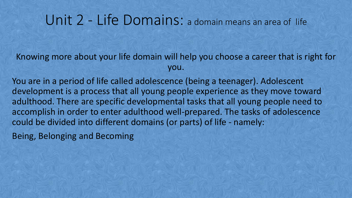### Unit 2 - Life Domains: <sup>a</sup> domain means an area of life

Knowing more about your life domain will help you choose a career that is right for you.

You are in a period of life called adolescence (being a teenager). Adolescent development is a process that all young people experience as they move toward adulthood. There are specific developmental tasks that all young people need to accomplish in order to enter adulthood well-prepared. The tasks of adolescence could be divided into different domains (or parts) of life - namely:

Being, Belonging and Becoming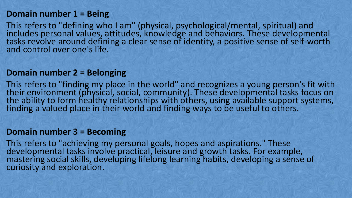#### **Domain number 1 = Being**

This refers to "defining who I am" (physical, psychological/mental, spiritual) and includes personal values, attitudes, knowledge and behaviors. These developmental tasks revolve around defining a clear sense of identity, a positive sense of self-worth and control over one's life.

#### **Domain number 2 = Belonging**

This refers to "finding my place in the world" and recognizes a young person's fit with their environment (physical, social, community). These developmental tasks focus on the ability to form healthy relationships with others, using available support systems, finding a valued place in their world and finding ways to be useful to others.

#### **Domain number 3 = Becoming**

This refers to "achieving my personal goals, hopes and aspirations." These developmental tasks involve practical, leisure and growth tasks. For example, mastering social skills, developing lifelong learning habits, developing a sense of curiosity and exploration.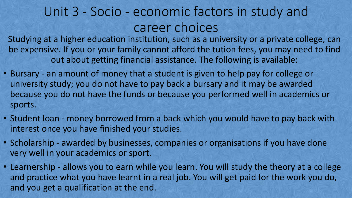# Unit 3 - Socio - economic factors in study and career choices

Studying at a higher education institution, such as a university or a private college, can be expensive. If you or your family cannot afford the tution fees, you may need to find out about getting financial assistance. The following is available:

- Bursary an amount of money that a student is given to help pay for college or university study; you do not have to pay back a bursary and it may be awarded because you do not have the funds or because you performed well in academics or sports.
- Student loan money borrowed from a back which you would have to pay back with interest once you have finished your studies.
- Scholarship awarded by businesses, companies or organisations if you have done very well in your academics or sport.
- Learnership allows you to earn while you learn. You will study the theory at a college and practice what you have learnt in a real job. You will get paid for the work you do, and you get a qualification at the end.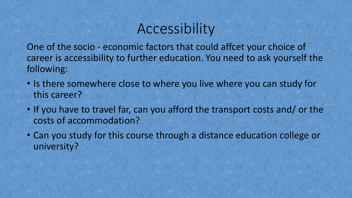# Accessibility

One of the socio - economic factors that could affcet your choice of career is accessibility to further education. You need to ask yourself the following:

- Is there somewhere close to where you live where you can study for this career?
- If you have to travel far, can you afford the transport costs and/ or the costs of accommodation?
- Can you study for this course through a distance education college or university?